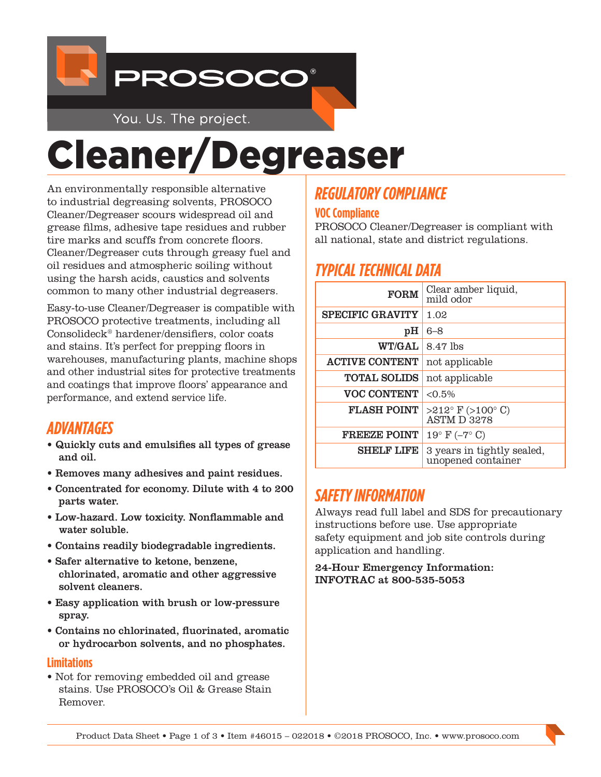

You. Us. The project.

# Cleaner/Degreaser

An environmentally responsible alternative to industrial degreasing solvents, PROSOCO Cleaner/Degreaser scours widespread oil and grease films, adhesive tape residues and rubber tire marks and scuffs from concrete floors. Cleaner/Degreaser cuts through greasy fuel and oil residues and atmospheric soiling without using the harsh acids, caustics and solvents common to many other industrial degreasers.

Easy-to-use Cleaner/Degreaser is compatible with PROSOCO protective treatments, including all Consolideck® hardener/densifiers, color coats and stains. It's perfect for prepping floors in warehouses, manufacturing plants, machine shops and other industrial sites for protective treatments and coatings that improve floors' appearance and performance, and extend service life.

## *ADVANTAGES*

- Quickly cuts and emulsifies all types of grease and oil.
- Removes many adhesives and paint residues.
- Concentrated for economy. Dilute with 4 to 200 parts water.
- Low-hazard. Low toxicity. Nonflammable and water soluble.
- Contains readily biodegradable ingredients.
- Safer alternative to ketone, benzene, chlorinated, aromatic and other aggressive solvent cleaners.
- Easy application with brush or low-pressure spray.
- Contains no chlorinated, fluorinated, aromatic or hydrocarbon solvents, and no phosphates.

#### **Limitations**

• Not for removing embedded oil and grease stains. Use PROSOCO's Oil & Grease Stain Remover.

# *REGULATORY COMPLIANCE*

#### **VOC Compliance**

PROSOCO Cleaner/Degreaser is compliant with all national, state and district regulations.

## *TYPICAL TECHNICAL DATA*

| <b>FORM</b>             | Clear amber liquid,<br>mild odor                          |
|-------------------------|-----------------------------------------------------------|
| <b>SPECIFIC GRAVITY</b> | 1.02                                                      |
| pH                      | 6–8                                                       |
| <b>WT/GAL</b>           | 8.47 lbs                                                  |
| <b>ACTIVE CONTENT</b>   | not applicable                                            |
| <b>TOTAL SOLIDS</b>     | not applicable                                            |
| <b>VOC CONTENT</b>      | $< 0.5\%$                                                 |
| <b>FLASH POINT</b>      | $>212^{\circ}$ F ( $>100^{\circ}$ C)<br><b>ASTM D3278</b> |
| <b>FREEZE POINT</b>     | $19^{\circ}$ F (-7° C)                                    |
| <b>SHELF LIFE</b>       | 3 years in tightly sealed,<br>unopened container          |

## *SAFETY INFORMATION*

Always read full label and SDS for precautionary instructions before use. Use appropriate safety equipment and job site controls during application and handling.

24-Hour Emergency Information: INFOTRAC at 800-535-5053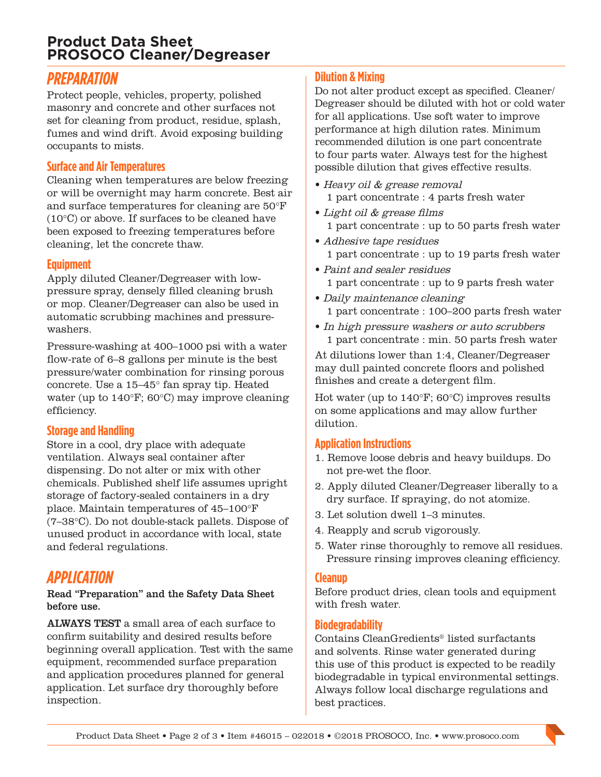## **Product Data Sheet PROSOCO Cleaner/Degreaser**

## *PREPARATION*

Protect people, vehicles, property, polished masonry and concrete and other surfaces not set for cleaning from product, residue, splash, fumes and wind drift. Avoid exposing building occupants to mists.

#### **Surface and Air Temperatures**

Cleaning when temperatures are below freezing or will be overnight may harm concrete. Best air and surface temperatures for cleaning are 50°F (10°C) or above. If surfaces to be cleaned have been exposed to freezing temperatures before cleaning, let the concrete thaw.

#### **Equipment**

Apply diluted Cleaner/Degreaser with lowpressure spray, densely filled cleaning brush or mop. Cleaner/Degreaser can also be used in automatic scrubbing machines and pressurewashers.

Pressure-washing at 400–1000 psi with a water flow-rate of 6–8 gallons per minute is the best pressure/water combination for rinsing porous concrete. Use a 15–45° fan spray tip. Heated water (up to 140°F; 60°C) may improve cleaning efficiency.

#### **Storage and Handling**

Store in a cool, dry place with adequate ventilation. Always seal container after dispensing. Do not alter or mix with other chemicals. Published shelf life assumes upright storage of factory-sealed containers in a dry place. Maintain temperatures of 45–100°F (7–38°C). Do not double-stack pallets. Dispose of unused product in accordance with local, state and federal regulations.

## *APPLICATION*

#### Read "Preparation" and the Safety Data Sheet before use.

ALWAYS TEST a small area of each surface to confirm suitability and desired results before beginning overall application. Test with the same equipment, recommended surface preparation and application procedures planned for general application. Let surface dry thoroughly before inspection.

### **Dilution & Mixing**

Do not alter product except as specified. Cleaner/ Degreaser should be diluted with hot or cold water for all applications. Use soft water to improve performance at high dilution rates. Minimum recommended dilution is one part concentrate to four parts water. Always test for the highest possible dilution that gives effective results.

- Heavy oil & grease removal 1 part concentrate : 4 parts fresh water
- Light oil & grease films 1 part concentrate : up to 50 parts fresh water
- Adhesive tape residues 1 part concentrate : up to 19 parts fresh water
- Paint and sealer residues 1 part concentrate : up to 9 parts fresh water
- Daily maintenance cleaning 1 part concentrate : 100–200 parts fresh water
- In high pressure washers or auto scrubbers 1 part concentrate : min. 50 parts fresh water

At dilutions lower than 1:4, Cleaner/Degreaser may dull painted concrete floors and polished finishes and create a detergent film.

Hot water (up to 140°F; 60°C) improves results on some applications and may allow further dilution.

#### **Application Instructions**

- 1. Remove loose debris and heavy buildups. Do not pre-wet the floor.
- 2. Apply diluted Cleaner/Degreaser liberally to a dry surface. If spraying, do not atomize.
- 3. Let solution dwell 1–3 minutes.
- 4. Reapply and scrub vigorously.
- 5. Water rinse thoroughly to remove all residues. Pressure rinsing improves cleaning efficiency.

#### **Cleanup**

Before product dries, clean tools and equipment with fresh water.

#### **Biodegradability**

Contains CleanGredients® listed surfactants and solvents. Rinse water generated during this use of this product is expected to be readily biodegradable in typical environmental settings. Always follow local discharge regulations and best practices.